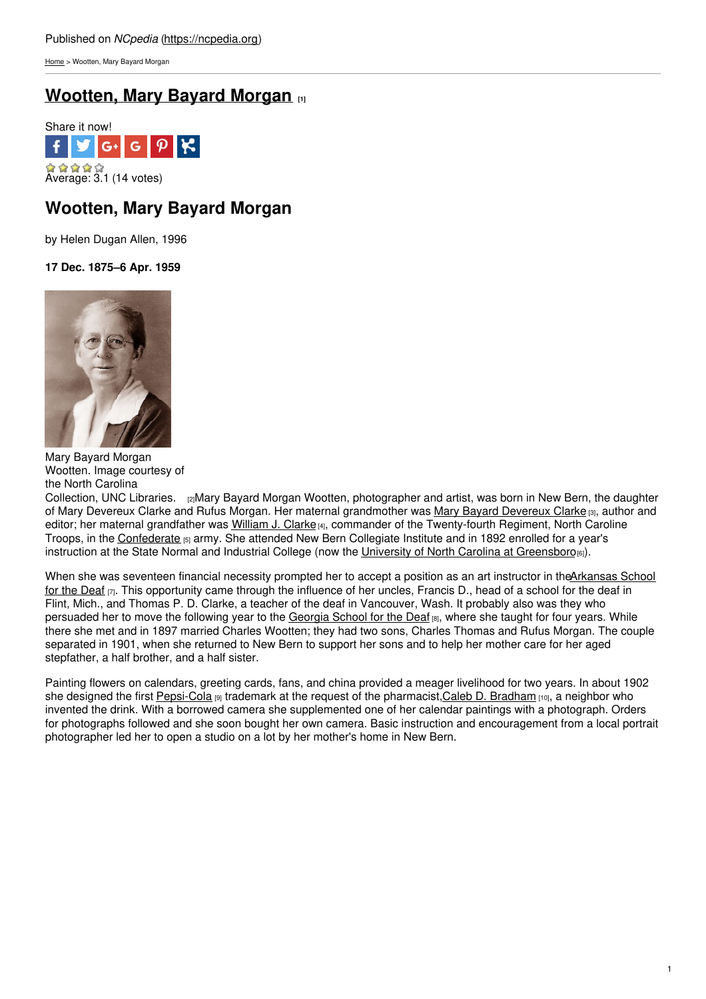[Home](https://ncpedia.org/) > Wootten, Mary Bayard Morgan

# **[Wootten,](https://ncpedia.org/biography/wootten-mary-bayard) Mary Bayard Morgan [1]**



## **Wootten, Mary Bayard Morgan**

by Helen Dugan Allen, 1996

**17 Dec. 1875–6 Apr. 1959**



Mary Bayard Morgan Wootten. Image courtesy of the North Carolina

[Collection,](http://www.lib.unc.edu/ncc/pcoll/wootten/bwbio.html) UNC Libraries. [2]Mary Bayard Morgan Wootten, photographer and artist, was born in New Bern, the daughter of Mary [Devereux](https://ncpedia.org/biography/clarke-mary) Clarke and Rufus Morgan. Her maternal grandmother was Mary Bayard Devereux Clarke [3], author and editor; her maternal grandfather was [William](https://ncpedia.org/biography/clarke-william-john) J. Clarke<sub>[4]</sub>, commander of the Twenty-fourth Regiment, North Caroline Troops, in the [Confederate](https://ncpedia.org/confederate-party) [5] army. She attended New Bern Collegiate Institute and in 1892 enrolled for a year's instruction at the State Normal and Industrial College (now the University of North Carolina at [Greensboro](https://ncpedia.org/university-north-carolina-greensbor)[6]).

When she was seventeen financial necessity prompted her to accept a position as an art instructor in the Arkansas School for the Deaf  $\overline{p}$ . This opportunity came through the influence of her uncles, Francis D., head of a school for the deaf in Flint, Mich., and Thomas P. D. Clarke, a teacher of the deaf in Vancouver, Wash. It probably also was they who persuaded her to move the following year to the [Georgia](http://www.gsdweb.org/) School for the Deaf [8], where she taught for four years. While there she met and in 1897 married Charles Wootten; they had two sons, Charles Thomas and Rufus Morgan. The couple separated in 1901, when she returned to New Bern to support her sons and to help her mother care for her aged stepfather, a half brother, and a half sister.

Painting flowers on calendars, greeting cards, fans, and china provided a meager livelihood for two years. In about 1902 she designed the first [Pepsi-Cola](https://ncpedia.org/pepsi-cola) [9] trademark at the request of the pharmacist,Caleb D. [Bradham](https://ncpedia.org/biography/bradham-caleb-davis) [10], a neighbor who invented the drink. With a borrowed camera she supplemented one of her calendar paintings with a photograph. Orders for photographs followed and she soon bought her own camera. Basic instruction and encouragement from a local portrait photographer led her to open a studio on a lot by her mother's home in New Bern.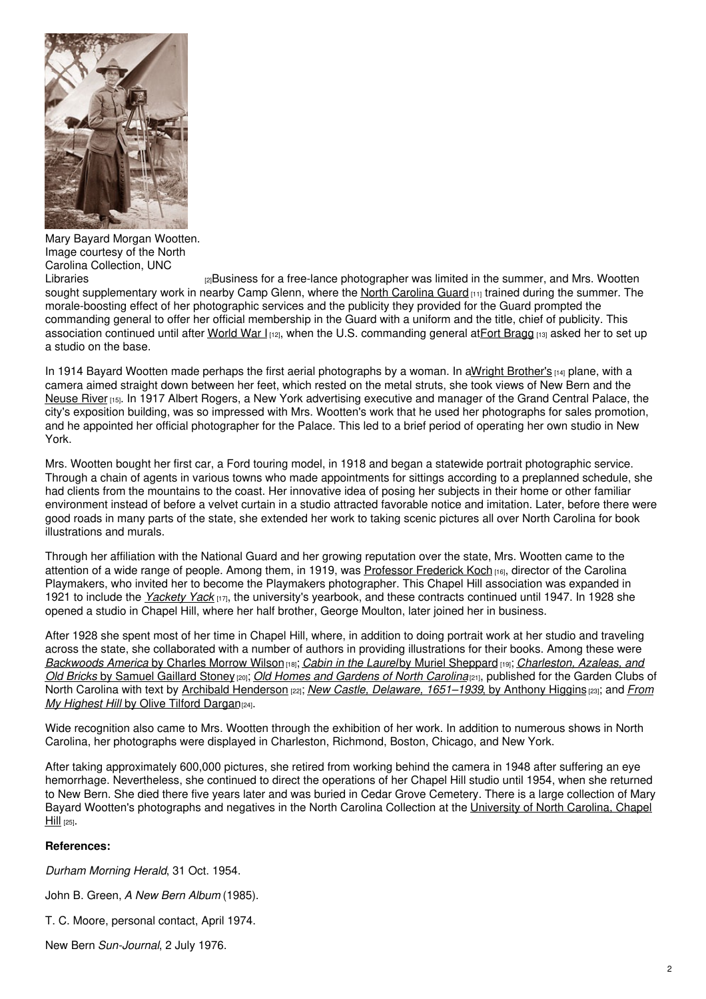

Mary Bayard Morgan Wootten. Image courtesy of the North Carolina Collection, UNC

[2]Business for a free-lance photographer was limited in the summer, and Mrs. Wootten sought supplementary work in nearby Camp Glenn, where the North [Carolina](https://ncpedia.org/national-guard) Guard [11] trained during the summer. The morale-boosting effect of her photographic services and the publicity they provided for the Guard prompted the commanding general to offer her official membership in the Guard with a uniform and the title, chief of publicity. This association continued until after [World](https://ncpedia.org/world-war-i) War  $I_{112}$ , when the U.S. commanding general atFort [Bragg](https://ncpedia.org/fort-bragg)  $II_{13}$  asked her to set up a studio on the base.

In 1914 Bayard Wootten made perhaps the first aerial photographs by a woman. In aWright [Brother's](https://ncpedia.org/aviation/wright-brothers) [14] plane, with a camera aimed straight down between her feet, which rested on the metal struts, she took views of New Bern and the [Neuse](https://ncpedia.org/rivers/neuse) River [15]. In 1917 Albert Rogers, a New York advertising executive and manager of the Grand Central Palace, the city's exposition building, was so impressed with Mrs. Wootten's work that he used her photographs for sales promotion, and he appointed her official photographer for the Palace. This led to a brief period of operating her own studio in New York.

Mrs. Wootten bought her first car, a Ford touring model, in 1918 and began a statewide portrait photographic service. Through a chain of agents in various towns who made appointments for sittings according to a preplanned schedule, she had clients from the mountains to the coast. Her innovative idea of posing her subjects in their home or other familiar environment instead of before a velvet curtain in a studio attracted favorable notice and imitation. Later, before there were good roads in many parts of the state, she extended her work to taking scenic pictures all over North Carolina for book illustrations and murals.

Through her affiliation with the National Guard and her growing reputation over the state, Mrs. Wootten came to the attention of a wide range of people. Among them, in 1919, was [Professor](https://ncpedia.org/biography/koch-frederick-henry) Frederick Koch [16], director of the Carolina Playmakers, who invited her to become the Playmakers photographer. This Chapel Hill association was expanded in 1921 to include the *[Yackety](http://www.lib.unc.edu/ncc/uncyearbooks.html) Yack* [17], the university's yearbook, and these contracts continued until 1947. In 1928 she opened a studio in Chapel Hill, where her half brother, George Moulton, later joined her in business.

After 1928 she spent most of her time in Chapel Hill, where, in addition to doing portrait work at her studio and traveling across the state, she collaborated with a number of authors in providing illustrations for their books. Among these were *[Backwoods](https://www.worldcat.org/title/charleston-azaleas-and-old-bricks/oclc/1506282) America* by Charles Morrow Wilson[18]; *Cabin in the Laurel* by Muriel [Sheppard](http://uncpress.unc.edu/books/T-1303.html) [19]; *Charleston, Azaleas, and Old Bricks* by Samuel Gaillard Stoney [20]; *Old Homes and [Gardens](https://www.worldcat.org/title/old-homes-and-gardens-of-north-carolina/oclc/1511096) of North Carolina*[21], published for the Garden Clubs of North Carolina with text by Archibald [Henderson](https://ncpedia.org/biography/henderson-archibald-0) [22]; *New Castle, Delaware, [1651–1939](https://www.worldcat.org/title/from-my-highest-hill-carolina-mountain-folks/oclc/38842193?referer=di&ht=edition)*, by Anthony Higgins [23]; and *From My Highest Hill* by Olive Tilford Dargan<sub>[24]</sub>.

Wide recognition also came to Mrs. Wootten through the exhibition of her work. In addition to numerous shows in North Carolina, her photographs were displayed in Charleston, Richmond, Boston, Chicago, and New York.

After taking approximately 600,000 pictures, she retired from working behind the camera in 1948 after suffering an eye hemorrhage. Nevertheless, she continued to direct the operations of her Chapel Hill studio until 1954, when she returned to New Bern. She died there five years later and was buried in Cedar Grove Cemetery. There is a large collection of Mary Bayard Wootten's [photographs](https://ncpedia.org/university-north-carolina-chapel-hi) and negatives in the North Carolina Collection at the University of North Carolina, Chapel **Hill** [25].

### **References:**

*Durham Morning Herald*, 31 Oct. 1954.

John B. Green, *A New Bern Album* (1985).

T. C. Moore, personal contact, April 1974.

New Bern *Sun-Journal*, 2 July 1976.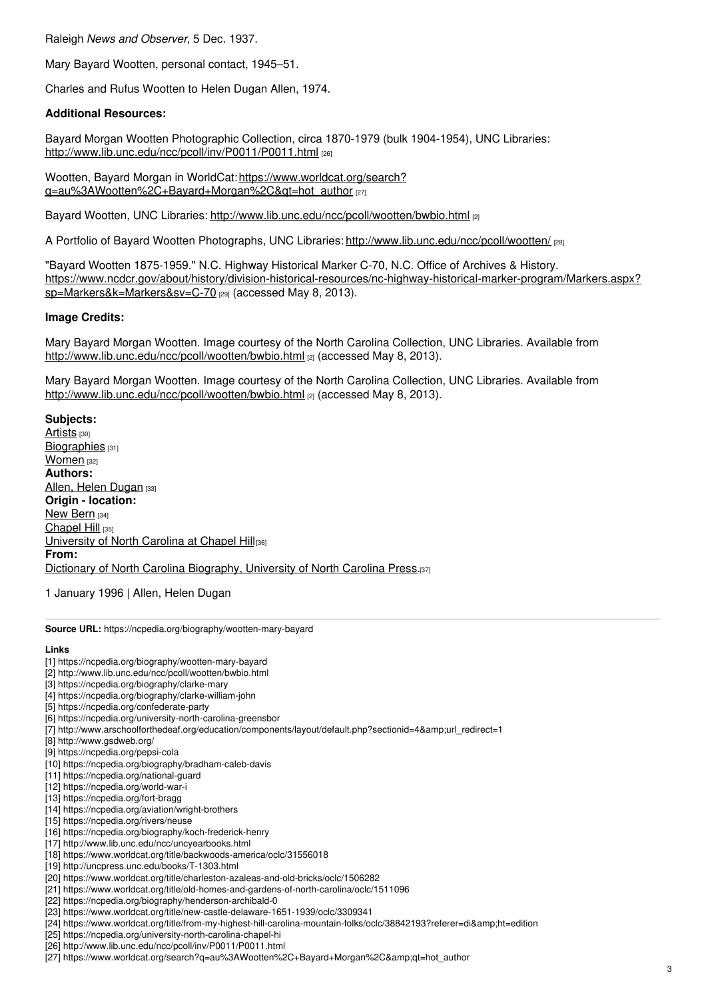Raleigh *News and Observer*, 5 Dec. 1937.

Mary Bayard Wootten, personal contact, 1945–51.

Charles and Rufus Wootten to Helen Dugan Allen, 1974.

### **Additional Resources:**

Bayard Morgan Wootten Photographic Collection, circa 1870-1979 (bulk 1904-1954), UNC Libraries: <http://www.lib.unc.edu/ncc/pcoll/inv/P0011/P0011.html> [26]

Wootten, Bayard Morgan in WorldCat: https://www.worldcat.org/search? [q=au%3AWootten%2C+Bayard+Morgan%2C&qt=hot\\_author](https://www.worldcat.org/search?q=au%3AWootten%2C+Bayard+Morgan%2C&qt=hot_author) [27]

Bayard Wootten, UNC Libraries: <http://www.lib.unc.edu/ncc/pcoll/wootten/bwbio.html> [2]

A Portfolio of Bayard Wootten Photographs, UNC Libraries: <http://www.lib.unc.edu/ncc/pcoll/wootten/> [28]

"Bayard Wootten 1875-1959." N.C. Highway Historical Marker C-70, N.C. Office of Archives & History. [https://www.ncdcr.gov/about/history/division-historical-resources/nc-highway-historical-marker-program/Markers.aspx?](https://www.ncdcr.gov/about/history/division-historical-resources/nc-highway-historical-marker-program/Markers.aspx?sp=Markers&k=Markers&sv=C-70) sp=Markers&k=Markers&sv=C-70 [29] (accessed May 8, 2013).

#### **Image Credits:**

Mary Bayard Morgan Wootten. Image courtesy of the North Carolina Collection, UNC Libraries. Available from <http://www.lib.unc.edu/ncc/pcoll/wootten/bwbio.html> [2] (accessed May 8, 2013).

Mary Bayard Morgan Wootten. Image courtesy of the North Carolina Collection, UNC Libraries. Available from <http://www.lib.unc.edu/ncc/pcoll/wootten/bwbio.html> [2] (accessed May 8, 2013).

**Subjects:** [Artists](https://ncpedia.org/category/subjects/artist) [30] [Biographies](https://ncpedia.org/category/subjects/biography-term) [31] [Women](https://ncpedia.org/category/subjects/women) [32] **Authors:** Allen, Helen [Dugan](https://ncpedia.org/category/authors/allen-helen-dugan) [33] **Origin - location:** New [Bern](https://ncpedia.org/category/origin-location/coastal-41) [34] [Chapel](https://ncpedia.org/category/origin-location/piedmont-5) Hill [35] [University](https://ncpedia.org/category/origin-location/piedmon-33) of North Carolina at Chapel Hill[36] **From:** Dictionary of North Carolina [Biography,](https://ncpedia.org/category/entry-source/dictionary-no) University of North Carolina Press.[37]

1 January 1996 | Allen, Helen Dugan

**Source URL:** https://ncpedia.org/biography/wootten-mary-bayard

#### **Links**

- [1] https://ncpedia.org/biography/wootten-mary-bayard
- [2] http://www.lib.unc.edu/ncc/pcoll/wootten/bwbio.html
- [3] https://ncpedia.org/biography/clarke-mary
- [4] https://ncpedia.org/biography/clarke-william-john
- [5] https://ncpedia.org/confederate-party
- [6] https://ncpedia.org/university-north-carolina-greensbor
- [7] http://www.arschoolforthedeaf.org/education/components/layout/default.php?sectionid=4&amp:url\_redirect=1
- [8] http://www.gsdweb.org/
- [9] https://ncpedia.org/pepsi-cola
- [10] https://ncpedia.org/biography/bradham-caleb-davis
- [11] https://ncpedia.org/national-guard
- [12] https://ncpedia.org/world-war-i
- [13] https://ncpedia.org/fort-bragg
- [14] https://ncpedia.org/aviation/wright-brothers
- [15] https://ncpedia.org/rivers/neuse
- [16] https://ncpedia.org/biography/koch-frederick-henry
- [17] http://www.lib.unc.edu/ncc/uncyearbooks.html
- [18] https://www.worldcat.org/title/backwoods-america/oclc/31556018
- [19] http://uncpress.unc.edu/books/T-1303.html
- [20] https://www.worldcat.org/title/charleston-azaleas-and-old-bricks/oclc/1506282
- [21] https://www.worldcat.org/title/old-homes-and-gardens-of-north-carolina/oclc/1511096
- [22] https://ncpedia.org/biography/henderson-archibald-0
- [23] https://www.worldcat.org/title/new-castle-delaware-1651-1939/oclc/3309341
- [24] https://www.worldcat.org/title/from-my-highest-hill-carolina-mountain-folks/oclc/38842193?referer=di&ht=edition
- [25] https://ncpedia.org/university-north-carolina-chapel-hi
- [26] http://www.lib.unc.edu/ncc/pcoll/inv/P0011/P0011.html
- [27] https://www.worldcat.org/search?q=au%3AWootten%2C+Bayard+Morgan%2C&qt=hot\_author